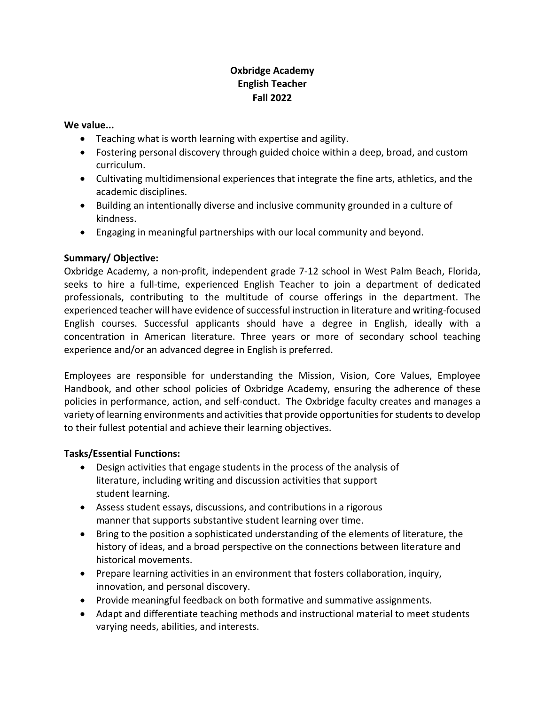# **Oxbridge Academy English Teacher Fall 2022**

#### **We value...**

- Teaching what is worth learning with expertise and agility.
- Fostering personal discovery through guided choice within a deep, broad, and custom curriculum.
- Cultivating multidimensional experiences that integrate the fine arts, athletics, and the academic disciplines.
- Building an intentionally diverse and inclusive community grounded in a culture of kindness.
- Engaging in meaningful partnerships with our local community and beyond.

## **Summary/ Objective:**

Oxbridge Academy, a non-profit, independent grade 7-12 school in West Palm Beach, Florida, seeks to hire a full-time, experienced English Teacher to join a department of dedicated professionals, contributing to the multitude of course offerings in the department. The experienced teacher will have evidence of successful instruction in literature and writing-focused English courses. Successful applicants should have a degree in English, ideally with a concentration in American literature. Three years or more of secondary school teaching experience and/or an advanced degree in English is preferred.

Employees are responsible for understanding the Mission, Vision, Core Values, Employee Handbook, and other school policies of Oxbridge Academy, ensuring the adherence of these policies in performance, action, and self-conduct. The Oxbridge faculty creates and manages a variety of learning environments and activities that provide opportunities for students to develop to their fullest potential and achieve their learning objectives.

## **Tasks/Essential Functions:**

- Design activities that engage students in the process of the analysis of literature, including writing and discussion activities that support student learning.
- Assess student essays, discussions, and contributions in a rigorous manner that supports substantive student learning over time.
- Bring to the position a sophisticated understanding of the elements of literature, the history of ideas, and a broad perspective on the connections between literature and historical movements.
- Prepare learning activities in an environment that fosters collaboration, inquiry, innovation, and personal discovery.
- Provide meaningful feedback on both formative and summative assignments.
- Adapt and differentiate teaching methods and instructional material to meet students varying needs, abilities, and interests.